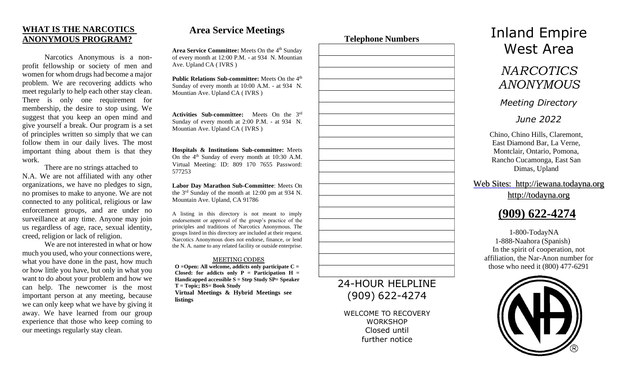## **WHAT IS THE NARCOTICS ANONYMOUS PROGRAM?**

Narcotics Anonymous is a nonprofit fellowship or society of men and women for whom drugs had become a major problem. We are recovering addicts who meet regularly to help each other stay clean. There is only one requirement for membership, the desire to stop using. We suggest that you keep an open mind and give yourself a break. Our program is a set of principles written so simply that we can follow them in our daily lives. The most important thing about them is that they work.

There are no strings attached to N.A. We are not affiliated with any other organizations, we have no pledges to sign, no promises to make to anyone. We are not connected to any political, religious or law enforcement groups, and are under no surveillance at any time. Anyone may join us regardless of age, race, sexual identity, creed, religion or lack of religion.

We are not interested in what or how much you used, who your connections were, what you have done in the past, how much or how little you have, but only in what you want to do about your problem and how we can help. The newcomer is the most important person at any meeting, because we can only keep what we have by giving it away. We have learned from our group experience that those who keep coming to our meetings regularly stay clean.

# **Area Service Meetings**

Area Service Committee: Meets On the 4<sup>th</sup> Sunday of every month at 12:00 P.M. - at 934 N. Mountian Ave. Upland CA ( IVRS )

**Public Relations Sub-committee:** Meets On the 4<sup>th</sup> Sunday of every month at 10:00 A.M. - at 934 N. Mountian Ave. Upland CA ( IVRS )

**Activities Sub-committee:** Meets On the 3rd Sunday of every month at 2:00 P.M. - at 934 N. Mountian Ave. Upland CA ( IVRS )

**Hospitals & Institutions Sub-committee:** Meets On the  $4<sup>th</sup>$  Sunday of every month at 10:30 A.M. Virtual Meeting: ID: 809 170 7655 Password: 577253

**Labor Day Marathon Sub-Committee**: Meets On the 3rd Sunday of the month at 12:00 pm at 934 N. Mountain Ave. Upland, CA 91786

A listing in this directory is not meant to imply endorsement or approval of the group's practice of the principles and traditions of Narcotics Anonymous. The groups listed in this directory are included at their request. Narcotics Anonymous does not endorse, finance, or lend the N. A. name to any related facility or outside enterprise.

#### MEETING CODES

**O =Open: All welcome, addicts only participate C = Closed:** for addicts only  $P =$  Participation  $H =$ **Handicapped accessible S = Step Study SP= Speaker T = Topic; BS= Book Study Virtual Meetings & Hybrid Meetings see listings**



# 24-HOUR HELPLINE (909) 622-4274

WELCOME TO RECOVERY **WORKSHOP** Closed until further notice

# Inland Empire West Area

# *NARCOTICS ANONYMOUS*

### *Meeting Directory*

## *June 2022*

Chino, Chino Hills, Claremont, East Diamond Bar, La Verne, Montclair, Ontario, Pomona, Rancho Cucamonga, East San Dimas, Upland

Web Sites: [http://iewana.todayna.org](http://iewana.todayna.org/) [http://todayna.org](http://todayna.org/)



1-800-TodayNA 1-888-Naahora (Spanish) In the spirit of cooperation, not affiliation, the Nar-Anon number for those who need it (800) 477-6291